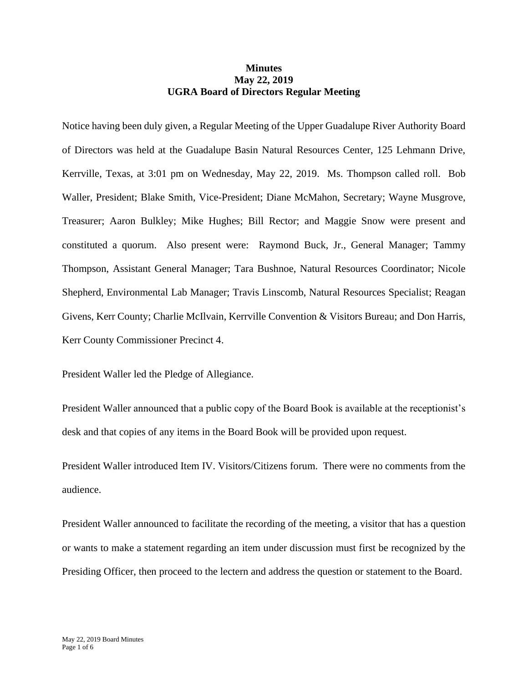## **Minutes May 22, 2019 UGRA Board of Directors Regular Meeting**

Notice having been duly given, a Regular Meeting of the Upper Guadalupe River Authority Board of Directors was held at the Guadalupe Basin Natural Resources Center, 125 Lehmann Drive, Kerrville, Texas, at 3:01 pm on Wednesday, May 22, 2019. Ms. Thompson called roll. Bob Waller, President; Blake Smith, Vice-President; Diane McMahon, Secretary; Wayne Musgrove, Treasurer; Aaron Bulkley; Mike Hughes; Bill Rector; and Maggie Snow were present and constituted a quorum. Also present were: Raymond Buck, Jr., General Manager; Tammy Thompson, Assistant General Manager; Tara Bushnoe, Natural Resources Coordinator; Nicole Shepherd, Environmental Lab Manager; Travis Linscomb, Natural Resources Specialist; Reagan Givens, Kerr County; Charlie McIlvain, Kerrville Convention & Visitors Bureau; and Don Harris, Kerr County Commissioner Precinct 4.

President Waller led the Pledge of Allegiance.

President Waller announced that a public copy of the Board Book is available at the receptionist's desk and that copies of any items in the Board Book will be provided upon request.

President Waller introduced Item IV. Visitors/Citizens forum. There were no comments from the audience.

President Waller announced to facilitate the recording of the meeting, a visitor that has a question or wants to make a statement regarding an item under discussion must first be recognized by the Presiding Officer, then proceed to the lectern and address the question or statement to the Board.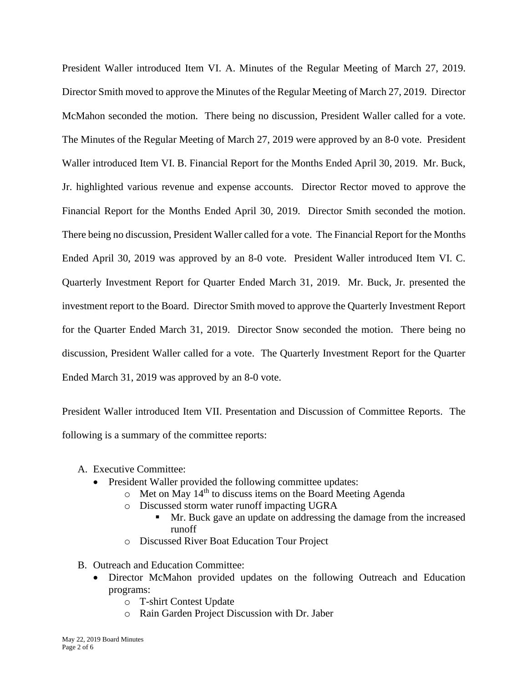President Waller introduced Item VI. A. Minutes of the Regular Meeting of March 27, 2019. Director Smith moved to approve the Minutes of the Regular Meeting of March 27, 2019. Director McMahon seconded the motion. There being no discussion, President Waller called for a vote. The Minutes of the Regular Meeting of March 27, 2019 were approved by an 8-0 vote. President Waller introduced Item VI. B. Financial Report for the Months Ended April 30, 2019. Mr. Buck, Jr. highlighted various revenue and expense accounts. Director Rector moved to approve the Financial Report for the Months Ended April 30, 2019. Director Smith seconded the motion. There being no discussion, President Waller called for a vote. The Financial Report for the Months Ended April 30, 2019 was approved by an 8-0 vote. President Waller introduced Item VI. C. Quarterly Investment Report for Quarter Ended March 31, 2019. Mr. Buck, Jr. presented the investment report to the Board. Director Smith moved to approve the Quarterly Investment Report for the Quarter Ended March 31, 2019. Director Snow seconded the motion. There being no discussion, President Waller called for a vote. The Quarterly Investment Report for the Quarter Ended March 31, 2019 was approved by an 8-0 vote.

President Waller introduced Item VII. Presentation and Discussion of Committee Reports. The following is a summary of the committee reports:

- A. Executive Committee:
	- President Waller provided the following committee updates:
		- $\circ$  Met on May 14<sup>th</sup> to discuss items on the Board Meeting Agenda
		- o Discussed storm water runoff impacting UGRA
			- Mr. Buck gave an update on addressing the damage from the increased runoff
		- o Discussed River Boat Education Tour Project
- B. Outreach and Education Committee:
	- Director McMahon provided updates on the following Outreach and Education programs:
		- o T-shirt Contest Update
		- o Rain Garden Project Discussion with Dr. Jaber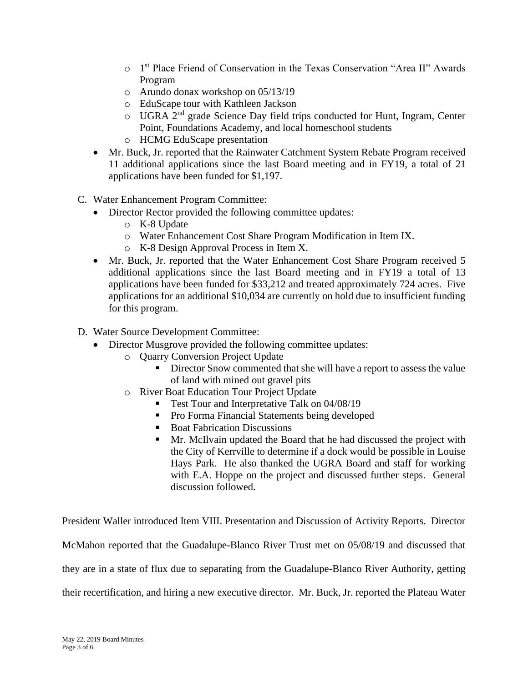- o 1 st Place Friend of Conservation in the Texas Conservation "Area II" Awards Program
- o Arundo donax workshop on 05/13/19
- o EduScape tour with Kathleen Jackson
- o UGRA 2nd grade Science Day field trips conducted for Hunt, Ingram, Center Point, Foundations Academy, and local homeschool students
- o HCMG EduScape presentation
- Mr. Buck, Jr. reported that the Rainwater Catchment System Rebate Program received 11 additional applications since the last Board meeting and in FY19, a total of 21 applications have been funded for \$1,197.
- C. Water Enhancement Program Committee:
	- Director Rector provided the following committee updates:
		- o K-8 Update
		- o Water Enhancement Cost Share Program Modification in Item IX.
		- o K-8 Design Approval Process in Item X.
	- Mr. Buck, Jr. reported that the Water Enhancement Cost Share Program received 5 additional applications since the last Board meeting and in FY19 a total of 13 applications have been funded for \$33,212 and treated approximately 724 acres. Five applications for an additional \$10,034 are currently on hold due to insufficient funding for this program.
- D. Water Source Development Committee:
	- Director Musgrove provided the following committee updates:
		- o Quarry Conversion Project Update
			- Director Snow commented that she will have a report to assess the value of land with mined out gravel pits
		- o River Boat Education Tour Project Update
			- Test Tour and Interpretative Talk on 04/08/19
			- Pro Forma Financial Statements being developed
			- Boat Fabrication Discussions
			- Mr. McIlvain updated the Board that he had discussed the project with the City of Kerrville to determine if a dock would be possible in Louise Hays Park. He also thanked the UGRA Board and staff for working with E.A. Hoppe on the project and discussed further steps. General discussion followed.

President Waller introduced Item VIII. Presentation and Discussion of Activity Reports. Director McMahon reported that the Guadalupe-Blanco River Trust met on 05/08/19 and discussed that they are in a state of flux due to separating from the Guadalupe-Blanco River Authority, getting their recertification, and hiring a new executive director. Mr. Buck, Jr. reported the Plateau Water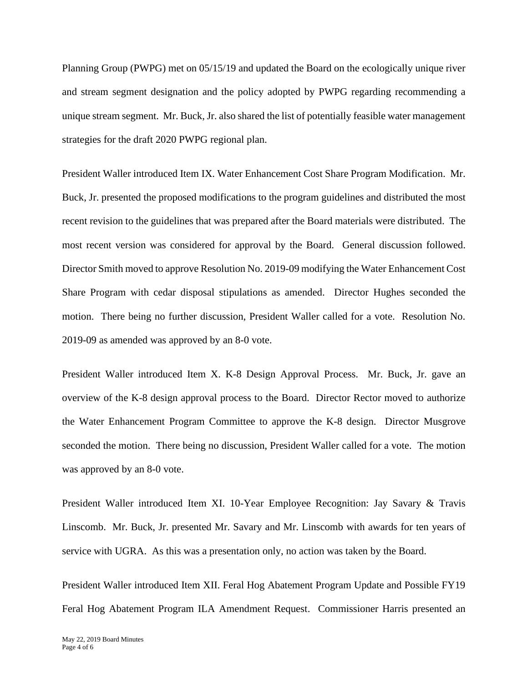Planning Group (PWPG) met on 05/15/19 and updated the Board on the ecologically unique river and stream segment designation and the policy adopted by PWPG regarding recommending a unique stream segment. Mr. Buck, Jr. also shared the list of potentially feasible water management strategies for the draft 2020 PWPG regional plan.

President Waller introduced Item IX. Water Enhancement Cost Share Program Modification. Mr. Buck, Jr. presented the proposed modifications to the program guidelines and distributed the most recent revision to the guidelines that was prepared after the Board materials were distributed. The most recent version was considered for approval by the Board. General discussion followed. Director Smith moved to approve Resolution No. 2019-09 modifying the Water Enhancement Cost Share Program with cedar disposal stipulations as amended. Director Hughes seconded the motion. There being no further discussion, President Waller called for a vote. Resolution No. 2019-09 as amended was approved by an 8-0 vote.

President Waller introduced Item X. K-8 Design Approval Process. Mr. Buck, Jr. gave an overview of the K-8 design approval process to the Board. Director Rector moved to authorize the Water Enhancement Program Committee to approve the K-8 design. Director Musgrove seconded the motion. There being no discussion, President Waller called for a vote. The motion was approved by an 8-0 vote.

President Waller introduced Item XI. 10-Year Employee Recognition: Jay Savary & Travis Linscomb. Mr. Buck, Jr. presented Mr. Savary and Mr. Linscomb with awards for ten years of service with UGRA. As this was a presentation only, no action was taken by the Board.

President Waller introduced Item XII. Feral Hog Abatement Program Update and Possible FY19 Feral Hog Abatement Program ILA Amendment Request. Commissioner Harris presented an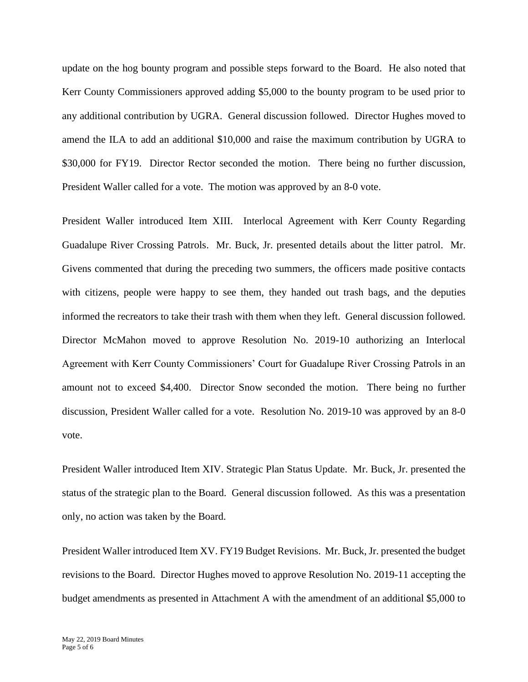update on the hog bounty program and possible steps forward to the Board. He also noted that Kerr County Commissioners approved adding \$5,000 to the bounty program to be used prior to any additional contribution by UGRA. General discussion followed. Director Hughes moved to amend the ILA to add an additional \$10,000 and raise the maximum contribution by UGRA to \$30,000 for FY19. Director Rector seconded the motion. There being no further discussion, President Waller called for a vote. The motion was approved by an 8-0 vote.

President Waller introduced Item XIII. Interlocal Agreement with Kerr County Regarding Guadalupe River Crossing Patrols. Mr. Buck, Jr. presented details about the litter patrol. Mr. Givens commented that during the preceding two summers, the officers made positive contacts with citizens, people were happy to see them, they handed out trash bags, and the deputies informed the recreators to take their trash with them when they left. General discussion followed. Director McMahon moved to approve Resolution No. 2019-10 authorizing an Interlocal Agreement with Kerr County Commissioners' Court for Guadalupe River Crossing Patrols in an amount not to exceed \$4,400. Director Snow seconded the motion. There being no further discussion, President Waller called for a vote. Resolution No. 2019-10 was approved by an 8-0 vote.

President Waller introduced Item XIV. Strategic Plan Status Update. Mr. Buck, Jr. presented the status of the strategic plan to the Board. General discussion followed. As this was a presentation only, no action was taken by the Board.

President Waller introduced Item XV. FY19 Budget Revisions. Mr. Buck, Jr. presented the budget revisions to the Board. Director Hughes moved to approve Resolution No. 2019-11 accepting the budget amendments as presented in Attachment A with the amendment of an additional \$5,000 to